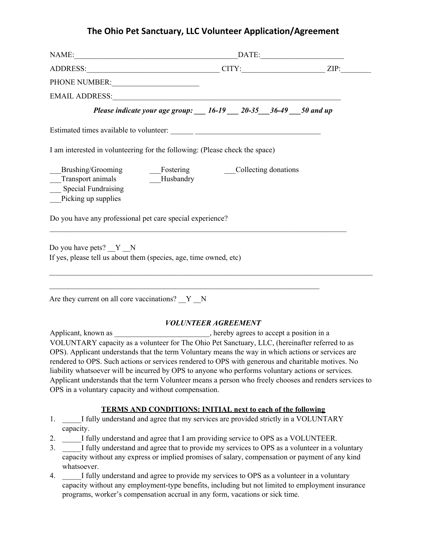## **The Ohio Pet Sanctuary, LLC Volunteer Application/Agreement**

| PHONE NUMBER:                                                                              |                            |  |
|--------------------------------------------------------------------------------------------|----------------------------|--|
|                                                                                            |                            |  |
| Please indicate your age group: __ 16-19 __ 20-35 __ 36-49 __ 50 and up                    |                            |  |
|                                                                                            |                            |  |
| I am interested in volunteering for the following: (Please check the space)                |                            |  |
| Transport animals Husbandry<br><b>Special Fundraising</b><br>Picking up supplies           |                            |  |
| Do you have any professional pet care special experience?                                  |                            |  |
| Do you have pets? Y N<br>If yes, please tell us about them (species, age, time owned, etc) |                            |  |
| Are they current on all core vaccinations? Y N                                             |                            |  |
| $\lambda$ 1 $\lambda$ 1                                                                    | <b>VOLUNTEER AGREEMENT</b> |  |

Applicant, known as \_\_\_\_\_\_\_\_\_\_\_\_\_\_\_\_\_\_\_\_\_\_, hereby agrees to accept a position in a VOLUNTARY capacity as a volunteer for The Ohio Pet Sanctuary, LLC, (hereinafter referred to as OPS). Applicant understands that the term Voluntary means the way in which actions or services are rendered to OPS. Such actions or services rendered to OPS with generous and charitable motives. No liability whatsoever will be incurred by OPS to anyone who performs voluntary actions or services. Applicant understands that the term Volunteer means a person who freely chooses and renders services to OPS in a voluntary capacity and without compensation.

## **TERMS AND CONDITIONS: INITIAL next to each of the following**

- 1. I fully understand and agree that my services are provided strictly in a VOLUNTARY capacity.
- 2. \_\_\_\_\_I fully understand and agree that I am providing service to OPS as a VOLUNTEER.
- 3. \_\_\_\_\_I fully understand and agree that to provide my services to OPS as a volunteer in a voluntary capacity without any express or implied promises of salary, compensation or payment of any kind whatsoever.
- 4. \_\_\_\_\_I fully understand and agree to provide my services to OPS as a volunteer in a voluntary capacity without any employment-type benefits, including but not limited to employment insurance programs, worker's compensation accrual in any form, vacations or sick time.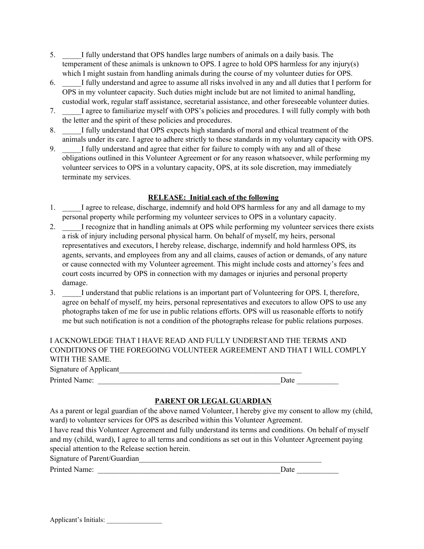- 5. \_\_\_\_\_I fully understand that OPS handles large numbers of animals on a daily basis. The temperament of these animals is unknown to OPS. I agree to hold OPS harmless for any injury(s) which I might sustain from handling animals during the course of my volunteer duties for OPS.
- 6. \_\_\_\_\_I fully understand and agree to assume all risks involved in any and all duties that I perform for OPS in my volunteer capacity. Such duties might include but are not limited to animal handling, custodial work, regular staff assistance, secretarial assistance, and other foreseeable volunteer duties.
- 7. \_\_\_\_\_I agree to familiarize myself with OPS's policies and procedures. I will fully comply with both the letter and the spirit of these policies and procedures.
- 8. I fully understand that OPS expects high standards of moral and ethical treatment of the animals under its care. I agree to adhere strictly to these standards in my voluntary capacity with OPS.
- 9. \_\_\_\_\_I fully understand and agree that either for failure to comply with any and all of these obligations outlined in this Volunteer Agreement or for any reason whatsoever, while performing my volunteer services to OPS in a voluntary capacity, OPS, at its sole discretion, may immediately terminate my services.

## **RELEASE: Initial each of the following**

- 1. I agree to release, discharge, indemnify and hold OPS harmless for any and all damage to my personal property while performing my volunteer services to OPS in a voluntary capacity.
- 2. \_\_\_\_\_I recognize that in handling animals at OPS while performing my volunteer services there exists a risk of injury including personal physical harm. On behalf of myself, my heirs, personal representatives and executors, I hereby release, discharge, indemnify and hold harmless OPS, its agents, servants, and employees from any and all claims, causes of action or demands, of any nature or cause connected with my Volunteer agreement. This might include costs and attorney's fees and court costs incurred by OPS in connection with my damages or injuries and personal property damage.
- 3. \_\_\_\_\_I understand that public relations is an important part of Volunteering for OPS. I, therefore, agree on behalf of myself, my heirs, personal representatives and executors to allow OPS to use any photographs taken of me for use in public relations efforts. OPS will us reasonable efforts to notify me but such notification is not a condition of the photographs release for public relations purposes.

| I ACKNOWLEDGE THAT I HAVE READ AND FULLY UNDERSTAND THE TERMS AND      |  |
|------------------------------------------------------------------------|--|
| CONDITIONS OF THE FOREGOING VOLUNTEER AGREEMENT AND THAT I WILL COMPLY |  |
| WITH THE SAME.                                                         |  |

| Signature of Applicant |      |  |
|------------------------|------|--|
| Printed Name:          | Date |  |

## **PARENT OR LEGAL GUARDIAN**

As a parent or legal guardian of the above named Volunteer, I hereby give my consent to allow my (child, ward) to volunteer services for OPS as described within this Volunteer Agreement.

I have read this Volunteer Agreement and fully understand its terms and conditions. On behalf of myself and my (child, ward), I agree to all terms and conditions as set out in this Volunteer Agreement paying special attention to the Release section herein.

Signature of Parent/Guardian\_\_\_\_\_\_\_\_\_\_\_\_\_\_\_\_\_\_\_\_\_\_\_\_\_\_\_\_\_\_\_\_\_\_\_\_\_\_\_\_\_\_\_\_\_\_\_\_

Printed Name: \_\_\_\_\_\_\_\_\_\_\_\_\_\_\_\_\_\_\_\_\_\_\_\_\_\_\_\_\_\_\_\_\_\_\_\_\_\_\_\_\_\_\_\_\_\_\_\_Date \_\_\_\_\_\_\_\_\_\_\_